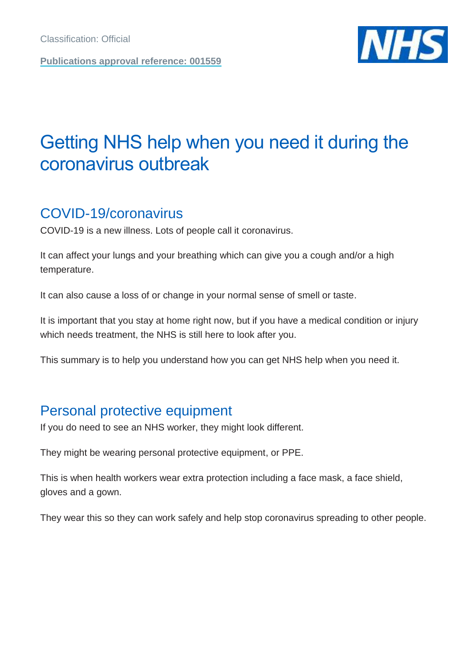**Publications approval reference: 001559**



# Getting NHS help when you need it during the coronavirus outbreak

# COVID-19/coronavirus

COVID-19 is a new illness. Lots of people call it coronavirus.

It can affect your lungs and your breathing which can give you a cough and/or a high temperature.

It can also cause a loss of or change in your normal sense of smell or taste.

It is important that you stay at home right now, but if you have a medical condition or injury which needs treatment, the NHS is still here to look after you.

This summary is to help you understand how you can get NHS help when you need it.

# Personal protective equipment

If you do need to see an NHS worker, they might look different.

They might be wearing personal protective equipment, or PPE.

This is when health workers wear extra protection including a face mask, a face shield, gloves and a gown.

They wear this so they can work safely and help stop coronavirus spreading to other people.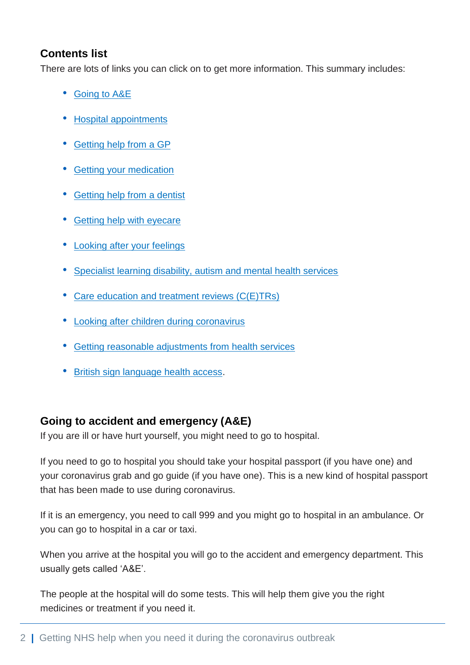## **Contents list**

There are lots of links you can click on to get more information. This summary includes:

- [Going to A&E](#page-1-0)
- [Hospital appointments](#page-2-0)
- [Getting help from a GP](#page-2-1)
- [Getting your medication](#page-2-2)
- [Getting help from a dentist](#page-3-0)
- [Getting help with eyecare](#page-3-1)
- [Looking after your feelings](#page-3-2)
- [Specialist learning disability, autism and mental health services](#page-4-0)
- [Care education and treatment reviews \(C\(E\)TRs\)](#page-4-1)
- [Looking after children during coronavirus](#page-4-2)
- [Getting reasonable adjustments from health services](#page-5-0)
- [British sign language health access.](#page-5-1)

# <span id="page-1-0"></span>**Going to accident and emergency (A&E)**

If you are ill or have hurt yourself, you might need to go to hospital.

If you need to go to hospital you should take your hospital passport (if you have one) and your coronavirus grab and go guide (if you have one). This is a new kind of hospital passport that has been made to use during coronavirus.

If it is an emergency, you need to call 999 and you might go to hospital in an ambulance. Or you can go to hospital in a car or taxi.

When you arrive at the hospital you will go to the accident and emergency department. This usually gets called 'A&E'.

The people at the hospital will do some tests. This will help them give you the right medicines or treatment if you need it.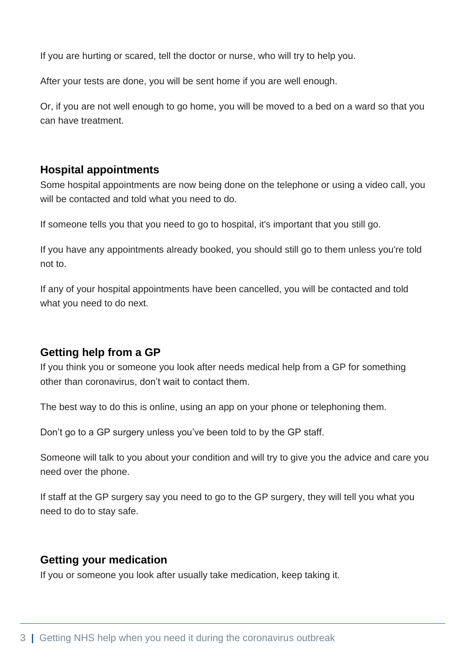If you are hurting or scared, tell the doctor or nurse, who will try to help you.

After your tests are done, you will be sent home if you are well enough.

Or, if you are not well enough to go home, you will be moved to a bed on a ward so that you can have treatment.

#### <span id="page-2-0"></span>**Hospital appointments**

Some hospital appointments are now being done on the telephone or using a video call, you will be contacted and told what you need to do.

If someone tells you that you need to go to hospital, it's important that you still go.

If you have any appointments already booked, you should still go to them unless you're told not to.

If any of your hospital appointments have been cancelled, you will be contacted and told what you need to do next.

### <span id="page-2-1"></span>**Getting help from a GP**

If you think you or someone you look after needs medical help from a GP for something other than coronavirus, don't wait to contact them.

The best way to do this is online, using an app on your phone or telephoning them.

Don't go to a GP surgery unless you've been told to by the GP staff.

Someone will talk to you about your condition and will try to give you the advice and care you need over the phone.

If staff at the GP surgery say you need to go to the GP surgery, they will tell you what you need to do to stay safe.

#### <span id="page-2-2"></span>**Getting your medication**

If you or someone you look after usually take medication, keep taking it.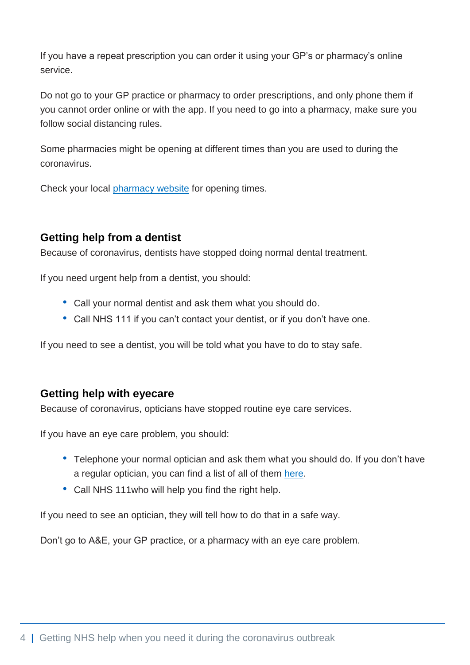<span id="page-3-2"></span>If you have a repeat prescription you can order it using your GP's or pharmacy's online service.

Do not go to your GP practice or pharmacy to order prescriptions, and only phone them if you cannot order online or with the app. If you need to go into a pharmacy, make sure you follow social distancing rules.

Some pharmacies might be opening at different times than you are used to during the coronavirus.

Check your local [pharmacy website](http://www.nhs.uk/find-a-pharmacy) for opening times.

## <span id="page-3-0"></span>**Getting help from a dentist**

Because of coronavirus, dentists have stopped doing normal dental treatment.

If you need urgent help from a dentist, you should:

- Call your normal dentist and ask them what you should do.
- Call NHS 111 if you can't contact your dentist, or if you don't have one.

If you need to see a dentist, you will be told what you have to do to stay safe.

### <span id="page-3-1"></span>**Getting help with eyecare**

Because of coronavirus, opticians have stopped routine eye care services.

If you have an eye care problem, you should:

- Telephone your normal optician and ask them what you should do. If you don't have a regular optician, you can find a list of all of them [here.](https://www.nhs.uk/service-search/)
- Call NHS 111who will help you find the right help.

If you need to see an optician, they will tell how to do that in a safe way.

Don't go to A&E, your GP practice, or a pharmacy with an eye care problem.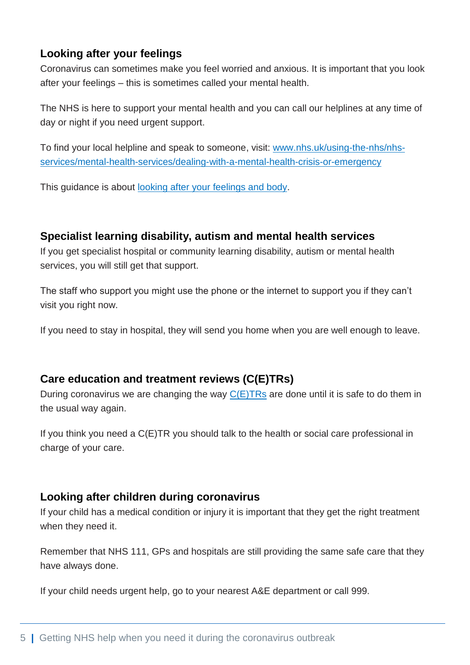# **Looking after your feelings**

Coronavirus can sometimes make you feel worried and anxious. It is important that you look after your feelings – this is sometimes called your mental health.

The NHS is here to support your mental health and you can call our helplines at any time of day or night if you need urgent support.

To find your local helpline and speak to someone, visit: [www.nhs.uk/using-the-nhs/nhs](http://www.nhs.uk/using-the-nhs/nhs-services/mental-health-services/dealing-with-a-mental-health-crisis-or-emergency)[services/mental-health-services/dealing-with-a-mental-health-crisis-or-emergency](http://www.nhs.uk/using-the-nhs/nhs-services/mental-health-services/dealing-with-a-mental-health-crisis-or-emergency)

This guidance is about [looking after your feelings and body.](https://assets.publishing.service.gov.uk/government/uploads/system/uploads/attachment_data/file/876996/Easy_read_looking_after_your_feelings_and_body.pdf)

#### <span id="page-4-0"></span>**Specialist learning disability, autism and mental health services**

If you get specialist hospital or community learning disability, autism or mental health services, you will still get that support.

The staff who support you might use the phone or the internet to support you if they can't visit you right now.

If you need to stay in hospital, they will send you home when you are well enough to leave.

### <span id="page-4-1"></span>**Care education and treatment reviews (C(E)TRs)**

During coronavirus we are changing the way  $C(E)$ TRs are done until it is safe to do them in the usual way again.

If you think you need a C(E)TR you should talk to the health or social care professional in charge of your care.

#### <span id="page-4-2"></span>**Looking after children during coronavirus**

If your child has a medical condition or injury it is important that they get the right treatment when they need it.

Remember that NHS 111, GPs and hospitals are still providing the same safe care that they have always done.

If your child needs urgent help, go to your nearest A&E department or call 999.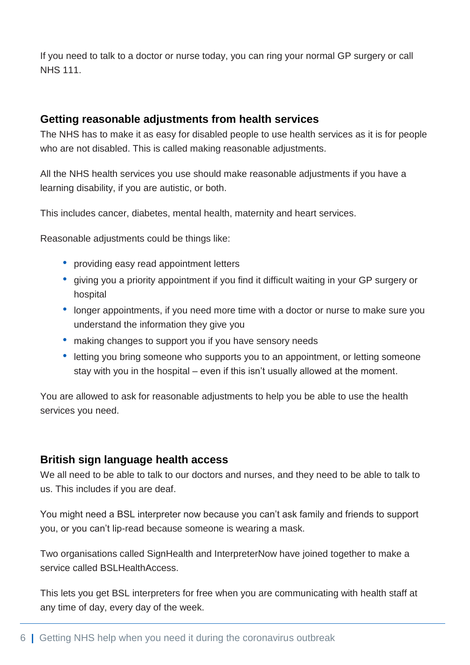If you need to talk to a doctor or nurse today, you can ring your normal GP surgery or call NHS 111.

#### <span id="page-5-0"></span>**Getting reasonable adjustments from health services**

The NHS has to make it as easy for disabled people to use health services as it is for people who are not disabled. This is called making reasonable adjustments.

All the NHS health services you use should make reasonable adjustments if you have a learning disability, if you are autistic, or both.

This includes cancer, diabetes, mental health, maternity and heart services.

Reasonable adjustments could be things like:

- providing easy read appointment letters
- giving you a priority appointment if you find it difficult waiting in your GP surgery or hospital
- longer appointments, if you need more time with a doctor or nurse to make sure you understand the information they give you
- making changes to support you if you have sensory needs
- letting you bring someone who supports you to an appointment, or letting someone stay with you in the hospital – even if this isn't usually allowed at the moment.

You are allowed to ask for reasonable adjustments to help you be able to use the health services you need.

### <span id="page-5-1"></span>**British sign language health access**

We all need to be able to talk to our doctors and nurses, and they need to be able to talk to us. This includes if you are deaf.

You might need a BSL interpreter now because you can't ask family and friends to support you, or you can't lip-read because someone is wearing a mask.

Two organisations called SignHealth and InterpreterNow have joined together to make a service called BSLHealthAccess.

This lets you get BSL interpreters for free when you are communicating with health staff at any time of day, every day of the week.